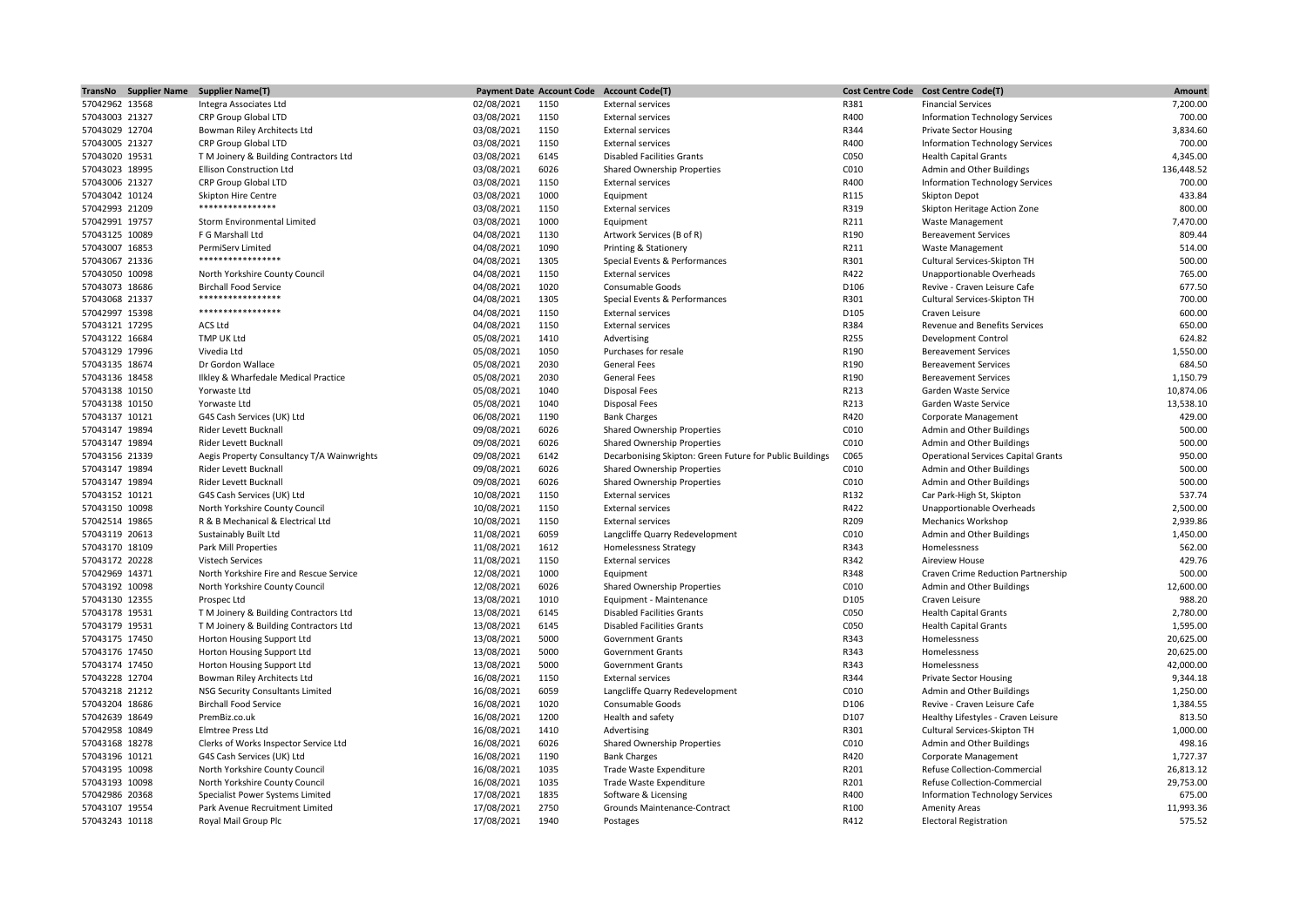|                                  | TransNo Supplier Name Supplier Name(T)                              |                          |              | Payment Date Account Code Account Code(T)                                               |              | Cost Centre Code Cost Centre Code(T)                                    | Amount           |
|----------------------------------|---------------------------------------------------------------------|--------------------------|--------------|-----------------------------------------------------------------------------------------|--------------|-------------------------------------------------------------------------|------------------|
| 57042962 13568                   | Integra Associates Ltd                                              | 02/08/2021               | 1150         | <b>External services</b>                                                                | R381         | <b>Financial Services</b>                                               | 7,200.00         |
| 57043003 21327                   | CRP Group Global LTD                                                | 03/08/2021               | 1150         | <b>External services</b>                                                                | R400         | Information Technology Services                                         | 700.00           |
| 57043029 12704                   | Bowman Riley Architects Ltd                                         | 03/08/2021               | 1150         | <b>External services</b>                                                                | R344         | <b>Private Sector Housing</b>                                           | 3,834.60         |
| 57043005 21327                   | CRP Group Global LTD                                                | 03/08/2021               | 1150         | <b>External services</b>                                                                | R400         | Information Technology Services                                         | 700.00           |
| 57043020 19531                   | T M Joinery & Building Contractors Ltd                              | 03/08/2021               | 6145         | <b>Disabled Facilities Grants</b>                                                       | C050         | <b>Health Capital Grants</b>                                            | 4,345.00         |
| 57043023 18995                   | <b>Ellison Construction Ltd</b>                                     | 03/08/2021               | 6026         | <b>Shared Ownership Properties</b>                                                      | C010         | Admin and Other Buildings                                               | 136,448.52       |
| 57043006 21327                   | CRP Group Global LTD                                                | 03/08/2021               | 1150         | <b>External services</b>                                                                | R400         | Information Technology Services                                         | 700.00           |
| 57043042 10124                   | <b>Skipton Hire Centre</b>                                          | 03/08/2021               | 1000         | Equipment                                                                               | R115         | <b>Skipton Depot</b>                                                    | 433.84           |
| 57042993 21209                   | ****************                                                    | 03/08/2021               | 1150         | <b>External services</b>                                                                | R319         | Skipton Heritage Action Zone                                            | 800.00           |
| 57042991 19757                   | Storm Environmental Limited                                         | 03/08/2021               | 1000         | Equipment                                                                               | R211         | <b>Waste Management</b>                                                 | 7,470.00         |
| 57043125 10089                   | F G Marshall Ltd                                                    | 04/08/2021               | 1130         | Artwork Services (B of R)                                                               | R190         | <b>Bereavement Services</b>                                             | 809.44           |
| 57043007 16853                   | PermiServ Limited                                                   | 04/08/2021               | 1090         | Printing & Stationery                                                                   | R211         | <b>Waste Management</b>                                                 | 514.00           |
| 57043067 21336                   | *****************                                                   | 04/08/2021               | 1305         | Special Events & Performances                                                           | R301         | Cultural Services-Skipton TH                                            | 500.00           |
| 57043050 10098                   | North Yorkshire County Council                                      | 04/08/2021               | 1150         | <b>External services</b>                                                                | R422         | Unapportionable Overheads                                               | 765.00           |
| 57043073 18686                   | <b>Birchall Food Service</b>                                        | 04/08/2021               | 1020         | Consumable Goods                                                                        | D106         | Revive - Craven Leisure Cafe                                            | 677.50           |
| 57043068 21337                   | *****************<br>*****************                              | 04/08/2021               | 1305         | Special Events & Performances                                                           | R301         | Cultural Services-Skipton TH                                            | 700.00           |
| 57042997 15398                   |                                                                     | 04/08/2021               | 1150         | <b>External services</b>                                                                | D105         | Craven Leisure                                                          | 600.00           |
| 57043121 17295                   | ACS Ltd                                                             | 04/08/2021               | 1150         | <b>External services</b>                                                                | R384         | Revenue and Benefits Services                                           | 650.00           |
| 57043122 16684                   | TMP UK Ltd                                                          | 05/08/2021               | 1410         | Advertising                                                                             | R255         | Development Control                                                     | 624.82           |
| 57043129 17996                   | Vivedia Ltd                                                         | 05/08/2021               | 1050         | Purchases for resale                                                                    | R190         | <b>Bereavement Services</b>                                             | 1,550.00         |
| 57043135 18674                   | Dr Gordon Wallace                                                   | 05/08/2021               | 2030         | <b>General Fees</b>                                                                     | R190         | <b>Bereavement Services</b>                                             | 684.50           |
| 57043136 18458                   | Ilkley & Wharfedale Medical Practice                                | 05/08/2021               | 2030         | <b>General Fees</b>                                                                     | R190         | <b>Bereavement Services</b>                                             | 1,150.79         |
| 57043138 10150                   | Yorwaste Ltd                                                        | 05/08/2021               | 1040         | <b>Disposal Fees</b>                                                                    | R213         | Garden Waste Service                                                    | 10,874.06        |
| 57043138 10150                   | Yorwaste Ltd                                                        | 05/08/2021               | 1040         | <b>Disposal Fees</b>                                                                    | R213         | Garden Waste Service                                                    | 13,538.10        |
| 57043137 10121                   | G4S Cash Services (UK) Ltd                                          | 06/08/2021               | 1190         | <b>Bank Charges</b>                                                                     | R420         | Corporate Management                                                    | 429.00           |
| 57043147 19894                   | Rider Levett Bucknall                                               | 09/08/2021               | 6026         | Shared Ownership Properties                                                             | C010         | Admin and Other Buildings                                               | 500.00           |
| 57043147 19894                   | Rider Levett Bucknall                                               | 09/08/2021               | 6026         | Shared Ownership Properties                                                             | C010<br>C065 | Admin and Other Buildings                                               | 500.00<br>950.00 |
| 57043156 21339<br>57043147 19894 | Aegis Property Consultancy T/A Wainwrights<br>Rider Levett Bucknall | 09/08/2021<br>09/08/2021 | 6142<br>6026 | Decarbonising Skipton: Green Future for Public Buildings<br>Shared Ownership Properties | C010         | <b>Operational Services Capital Grants</b><br>Admin and Other Buildings | 500.00           |
| 57043147 19894                   | Rider Levett Bucknall                                               | 09/08/2021               | 6026         | Shared Ownership Properties                                                             | C010         | Admin and Other Buildings                                               | 500.00           |
| 57043152 10121                   | G4S Cash Services (UK) Ltd                                          | 10/08/2021               | 1150         | <b>External services</b>                                                                | R132         | Car Park-High St, Skipton                                               | 537.74           |
| 57043150 10098                   | North Yorkshire County Council                                      | 10/08/2021               | 1150         | <b>External services</b>                                                                | R422         | Unapportionable Overheads                                               | 2,500.00         |
| 57042514 19865                   | R & B Mechanical & Electrical Ltd                                   | 10/08/2021               | 1150         | <b>External services</b>                                                                | R209         | Mechanics Workshop                                                      | 2,939.86         |
| 57043119 20613                   | Sustainably Built Ltd                                               | 11/08/2021               | 6059         | Langcliffe Quarry Redevelopment                                                         | C010         | Admin and Other Buildings                                               | 1,450.00         |
| 57043170 18109                   | Park Mill Properties                                                | 11/08/2021               | 1612         | <b>Homelessness Strategy</b>                                                            | R343         | Homelessness                                                            | 562.00           |
| 57043172 20228                   | <b>Vistech Services</b>                                             | 11/08/2021               | 1150         | <b>External services</b>                                                                | R342         | Aireview House                                                          | 429.76           |
| 57042969 14371                   | North Yorkshire Fire and Rescue Service                             | 12/08/2021               | 1000         | Equipment                                                                               | R348         | Craven Crime Reduction Partnership                                      | 500.00           |
| 57043192 10098                   | North Yorkshire County Council                                      | 12/08/2021               | 6026         | Shared Ownership Properties                                                             | C010         | Admin and Other Buildings                                               | 12,600.00        |
| 57043130 12355                   | Prospec Ltd                                                         | 13/08/2021               | 1010         | Equipment - Maintenance                                                                 | D105         | Craven Leisure                                                          | 988.20           |
| 57043178 19531                   | T M Joinery & Building Contractors Ltd                              | 13/08/2021               | 6145         | <b>Disabled Facilities Grants</b>                                                       | C050         | <b>Health Capital Grants</b>                                            | 2,780.00         |
| 57043179 19531                   | T M Joinery & Building Contractors Ltd                              | 13/08/2021               | 6145         | <b>Disabled Facilities Grants</b>                                                       | C050         | <b>Health Capital Grants</b>                                            | 1,595.00         |
| 57043175 17450                   | Horton Housing Support Ltd                                          | 13/08/2021               | 5000         | <b>Government Grants</b>                                                                | R343         | Homelessness                                                            | 20,625.00        |
| 57043176 17450                   | Horton Housing Support Ltd                                          | 13/08/2021               | 5000         | <b>Government Grants</b>                                                                | R343         | Homelessness                                                            | 20,625.00        |
| 57043174 17450                   | Horton Housing Support Ltd                                          | 13/08/2021               | 5000         | <b>Government Grants</b>                                                                | R343         | Homelessness                                                            | 42,000.00        |
| 57043228 12704                   | Bowman Riley Architects Ltd                                         | 16/08/2021               | 1150         | <b>External services</b>                                                                | R344         | <b>Private Sector Housing</b>                                           | 9,344.18         |
| 57043218 21212                   | <b>NSG Security Consultants Limited</b>                             | 16/08/2021               | 6059         | Langcliffe Quarry Redevelopment                                                         | C010         | Admin and Other Buildings                                               | 1,250.00         |
| 57043204 18686                   | <b>Birchall Food Service</b>                                        | 16/08/2021               | 1020         | Consumable Goods                                                                        | D106         | Revive - Craven Leisure Cafe                                            | 1,384.55         |
| 57042639 18649                   | PremBiz.co.uk                                                       | 16/08/2021               | 1200         | Health and safety                                                                       | D107         | Healthy Lifestyles - Craven Leisure                                     | 813.50           |
| 57042958 10849                   | Elmtree Press Ltd                                                   | 16/08/2021               | 1410         | Advertising                                                                             | R301         | Cultural Services-Skipton TH                                            | 1,000.00         |
| 57043168 18278                   | Clerks of Works Inspector Service Ltd                               | 16/08/2021               | 6026         | <b>Shared Ownership Properties</b>                                                      | C010         | Admin and Other Buildings                                               | 498.16           |
| 57043196 10121                   | G4S Cash Services (UK) Ltd                                          | 16/08/2021               | 1190         | <b>Bank Charges</b>                                                                     | R420         | Corporate Management                                                    | 1,727.37         |
| 57043195 10098                   | North Yorkshire County Council                                      | 16/08/2021               | 1035         | Trade Waste Expenditure                                                                 | R201         | Refuse Collection-Commercial                                            | 26,813.12        |
| 57043193 10098                   | North Yorkshire County Council                                      | 16/08/2021               | 1035         | Trade Waste Expenditure                                                                 | R201         | Refuse Collection-Commercial                                            | 29,753.00        |
| 57042986 20368                   | Specialist Power Systems Limited                                    | 17/08/2021               | 1835         | Software & Licensing                                                                    | R400         | <b>Information Technology Services</b>                                  | 675.00           |
| 57043107 19554                   | Park Avenue Recruitment Limited                                     | 17/08/2021               | 2750         | Grounds Maintenance-Contract                                                            | R100         | <b>Amenity Areas</b>                                                    | 11,993.36        |
| 57043243 10118                   | Royal Mail Group Plc                                                | 17/08/2021               | 1940         | Postages                                                                                | R412         | <b>Electoral Registration</b>                                           | 575.52           |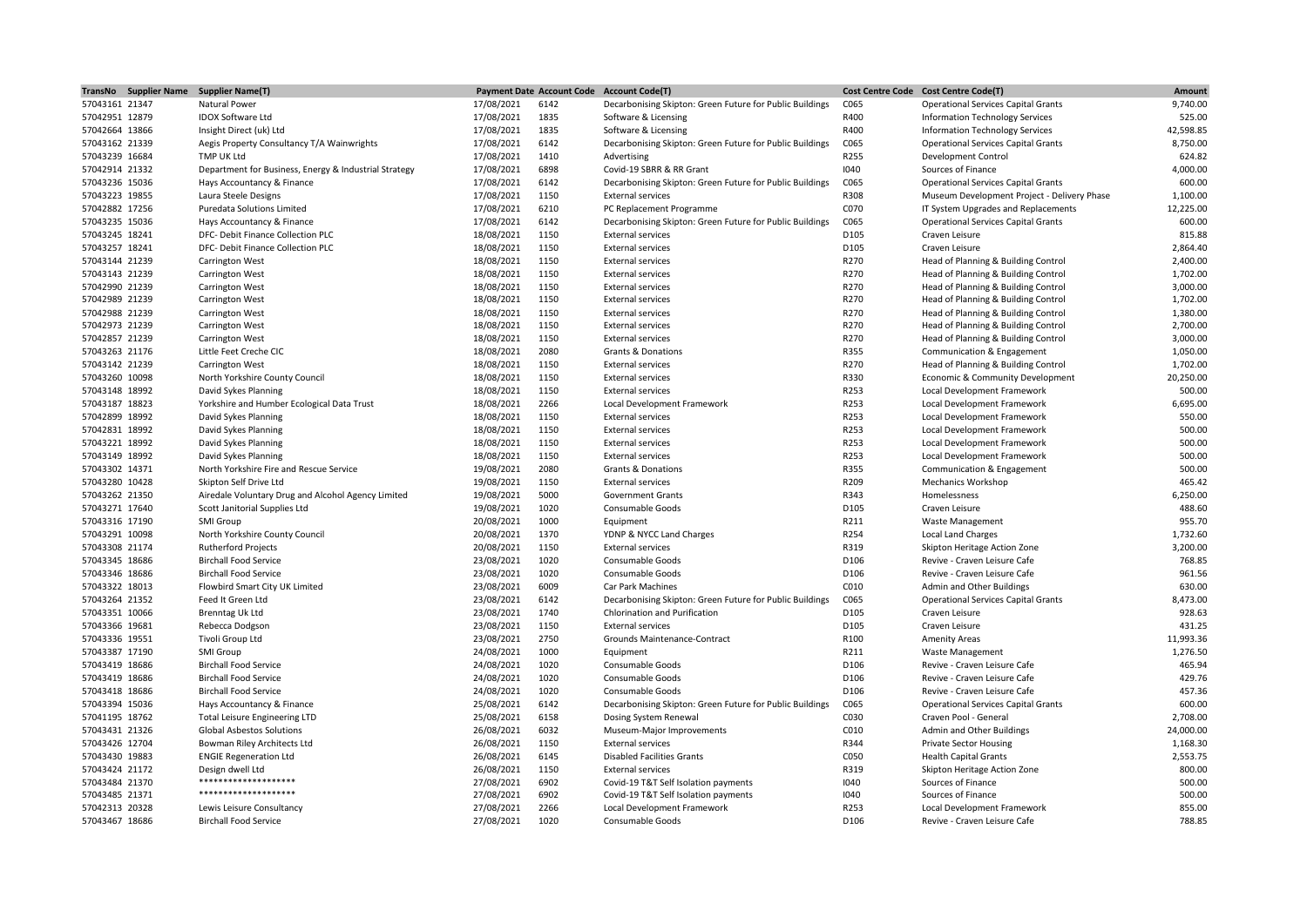|                                  | TransNo Supplier Name Supplier Name(T)                |                          |              | Payment Date Account Code Account Code(T)                |                  | Cost Centre Code Cost Centre Code(T)                 | Amount             |
|----------------------------------|-------------------------------------------------------|--------------------------|--------------|----------------------------------------------------------|------------------|------------------------------------------------------|--------------------|
| 57043161 21347                   | Natural Power                                         | 17/08/2021               | 6142         | Decarbonising Skipton: Green Future for Public Buildings | C065             | <b>Operational Services Capital Grants</b>           | 9,740.00           |
| 57042951 12879                   | <b>IDOX Software Ltd</b>                              | 17/08/2021               | 1835         | Software & Licensing                                     | R400             | <b>Information Technology Services</b>               | 525.00             |
| 57042664 13866                   | Insight Direct (uk) Ltd                               | 17/08/2021               | 1835         | Software & Licensing                                     | R400             | Information Technology Services                      | 42,598.85          |
| 57043162 21339                   | Aegis Property Consultancy T/A Wainwrights            | 17/08/2021               | 6142         | Decarbonising Skipton: Green Future for Public Buildings | C065             | <b>Operational Services Capital Grants</b>           | 8,750.00           |
| 57043239 16684                   | TMP UK Ltd                                            | 17/08/2021               | 1410         | Advertising                                              | R255             | <b>Development Control</b>                           | 624.82             |
| 57042914 21332                   | Department for Business, Energy & Industrial Strategy | 17/08/2021               | 6898         | Covid-19 SBRR & RR Grant                                 | 1040             | Sources of Finance                                   | 4,000.00           |
| 57043236 15036                   | Hays Accountancy & Finance                            | 17/08/2021               | 6142         | Decarbonising Skipton: Green Future for Public Buildings | C065             | <b>Operational Services Capital Grants</b>           | 600.00             |
| 57043223 19855                   | Laura Steele Designs                                  | 17/08/2021               | 1150         | <b>External services</b>                                 | R308             | Museum Development Project - Delivery Phase          | 1,100.00           |
| 57042882 17256                   | Puredata Solutions Limited                            | 17/08/2021               | 6210         | PC Replacement Programme                                 | C070             | IT System Upgrades and Replacements                  | 12,225.00          |
| 57043235 15036                   | Hays Accountancy & Finance                            | 17/08/2021               | 6142         | Decarbonising Skipton: Green Future for Public Buildings | C065             | <b>Operational Services Capital Grants</b>           | 600.00             |
| 57043245 18241                   | DFC- Debit Finance Collection PLC                     | 18/08/2021               | 1150         | <b>External services</b>                                 | D105             | Craven Leisure                                       | 815.88             |
| 57043257 18241                   | DFC- Debit Finance Collection PLC                     | 18/08/2021               | 1150         | <b>External services</b>                                 | D105             | Craven Leisure                                       | 2,864.40           |
| 57043144 21239                   | <b>Carrington West</b>                                | 18/08/2021               | 1150         | <b>External services</b>                                 | R270             | Head of Planning & Building Control                  | 2,400.00           |
| 57043143 21239                   | Carrington West                                       | 18/08/2021               | 1150         | <b>External services</b>                                 | R270             | Head of Planning & Building Control                  | 1,702.00           |
| 57042990 21239                   | Carrington West                                       | 18/08/2021               | 1150         | <b>External services</b>                                 | R270             | Head of Planning & Building Control                  | 3,000.00           |
| 57042989 21239                   | <b>Carrington West</b>                                | 18/08/2021               | 1150         | <b>External services</b>                                 | R270             | Head of Planning & Building Control                  | 1,702.00           |
| 57042988 21239                   | <b>Carrington West</b>                                | 18/08/2021               | 1150         | <b>External services</b>                                 | R270             | Head of Planning & Building Control                  | 1,380.00           |
| 57042973 21239                   | Carrington West                                       | 18/08/2021               | 1150         | <b>External services</b>                                 | R270             | Head of Planning & Building Control                  | 2,700.00           |
| 57042857 21239                   | Carrington West                                       | 18/08/2021               | 1150         | <b>External services</b>                                 | R270             | Head of Planning & Building Control                  | 3,000.00           |
| 57043263 21176                   | Little Feet Creche CIC                                | 18/08/2021               | 2080         | <b>Grants &amp; Donations</b>                            | R355             | Communication & Engagement                           | 1,050.00           |
| 57043142 21239                   | Carrington West                                       | 18/08/2021               | 1150         | <b>External services</b>                                 | R270             | Head of Planning & Building Control                  | 1,702.00           |
| 57043260 10098                   | North Yorkshire County Council                        | 18/08/2021               | 1150         | <b>External services</b>                                 | R330             | Economic & Community Development                     | 20,250.00          |
| 57043148 18992                   | David Sykes Planning                                  | 18/08/2021               | 1150         | <b>External services</b>                                 | R253             | Local Development Framework                          | 500.00             |
| 57043187 18823                   | Yorkshire and Humber Ecological Data Trust            | 18/08/2021               | 2266         | Local Development Framework                              | R253             | Local Development Framework                          | 6,695.00           |
| 57042899 18992                   | David Sykes Planning                                  | 18/08/2021               | 1150         | <b>External services</b>                                 | R253             | Local Development Framework                          | 550.00             |
| 57042831 18992                   | David Sykes Planning                                  | 18/08/2021               | 1150         | <b>External services</b>                                 | R253             | Local Development Framework                          | 500.00             |
| 57043221 18992                   | David Sykes Planning                                  | 18/08/2021               | 1150         | <b>External services</b>                                 | R253             | Local Development Framework                          | 500.00             |
| 57043149 18992                   | David Sykes Planning                                  | 18/08/2021               | 1150         | <b>External services</b>                                 | R253             | Local Development Framework                          | 500.00             |
| 57043302 14371                   | North Yorkshire Fire and Rescue Service               | 19/08/2021               | 2080         | <b>Grants &amp; Donations</b>                            | R355             | Communication & Engagement                           | 500.00             |
| 57043280 10428                   | Skipton Self Drive Ltd                                | 19/08/2021               | 1150         | <b>External services</b>                                 | R209             | <b>Mechanics Workshop</b>                            | 465.42             |
| 57043262 21350                   | Airedale Voluntary Drug and Alcohol Agency Limited    | 19/08/2021               | 5000         | <b>Government Grants</b>                                 | R343             | Homelessness                                         | 6,250.00           |
| 57043271 17640                   | Scott Janitorial Supplies Ltd                         | 19/08/2021               | 1020         | Consumable Goods                                         | D105             | Craven Leisure                                       | 488.60             |
| 57043316 17190<br>57043291 10098 | SMI Group<br>North Yorkshire County Council           | 20/08/2021<br>20/08/2021 | 1000<br>1370 | Equipment<br>YDNP & NYCC Land Charges                    | R211<br>R254     | <b>Waste Management</b><br><b>Local Land Charges</b> | 955.70<br>1,732.60 |
| 57043308 21174                   | <b>Rutherford Projects</b>                            | 20/08/2021               | 1150         | <b>External services</b>                                 | R319             | Skipton Heritage Action Zone                         | 3,200.00           |
| 57043345 18686                   | <b>Birchall Food Service</b>                          | 23/08/2021               | 1020         | Consumable Goods                                         | D106             | Revive - Craven Leisure Cafe                         | 768.85             |
| 57043346 18686                   | <b>Birchall Food Service</b>                          | 23/08/2021               | 1020         | Consumable Goods                                         | D106             | Revive - Craven Leisure Cafe                         | 961.56             |
| 57043322 18013                   | Flowbird Smart City UK Limited                        | 23/08/2021               | 6009         | Car Park Machines                                        | C010             | Admin and Other Buildings                            | 630.00             |
| 57043264 21352                   | Feed It Green Ltd                                     | 23/08/2021               | 6142         | Decarbonising Skipton: Green Future for Public Buildings | C065             | <b>Operational Services Capital Grants</b>           | 8,473.00           |
| 57043351 10066                   | <b>Brenntag Uk Ltd</b>                                | 23/08/2021               | 1740         | Chlorination and Purification                            | D105             | Craven Leisure                                       | 928.63             |
| 57043366 19681                   | Rebecca Dodgson                                       | 23/08/2021               | 1150         | <b>External services</b>                                 | D105             | Craven Leisure                                       | 431.25             |
| 57043336 19551                   | Tivoli Group Ltd                                      | 23/08/2021               | 2750         | Grounds Maintenance-Contract                             | R100             | <b>Amenity Areas</b>                                 | 11,993.36          |
| 57043387 17190                   | SMI Group                                             | 24/08/2021               | 1000         | Equipment                                                | R211             | <b>Waste Management</b>                              | 1,276.50           |
| 57043419 18686                   | <b>Birchall Food Service</b>                          | 24/08/2021               | 1020         | Consumable Goods                                         | D106             | Revive - Craven Leisure Cafe                         | 465.94             |
| 57043419 18686                   | <b>Birchall Food Service</b>                          | 24/08/2021               | 1020         | Consumable Goods                                         | D106             | Revive - Craven Leisure Cafe                         | 429.76             |
| 57043418 18686                   | <b>Birchall Food Service</b>                          | 24/08/2021               | 1020         | Consumable Goods                                         | D <sub>106</sub> | Revive - Craven Leisure Cafe                         | 457.36             |
| 57043394 15036                   | Hays Accountancy & Finance                            | 25/08/2021               | 6142         | Decarbonising Skipton: Green Future for Public Buildings | C065             | <b>Operational Services Capital Grants</b>           | 600.00             |
| 57041195 18762                   | <b>Total Leisure Engineering LTD</b>                  | 25/08/2021               | 6158         | Dosing System Renewal                                    | C030             | Craven Pool - General                                | 2,708.00           |
| 57043431 21326                   | <b>Global Asbestos Solutions</b>                      | 26/08/2021               | 6032         | Museum-Major Improvements                                | C010             | Admin and Other Buildings                            | 24,000.00          |
| 57043426 12704                   | Bowman Riley Architects Ltd                           | 26/08/2021               | 1150         | <b>External services</b>                                 | R344             | <b>Private Sector Housing</b>                        | 1,168.30           |
| 57043430 19883                   | <b>ENGIE Regeneration Ltd</b>                         | 26/08/2021               | 6145         | <b>Disabled Facilities Grants</b>                        | C050             | <b>Health Capital Grants</b>                         | 2,553.75           |
| 57043424 21172                   | Design dwell Ltd                                      | 26/08/2021               | 1150         | <b>External services</b>                                 | R319             | Skipton Heritage Action Zone                         | 800.00             |
| 57043484 21370                   | ********************                                  | 27/08/2021               | 6902         | Covid-19 T&T Self Isolation payments                     | 1040             | Sources of Finance                                   | 500.00             |
| 57043485 21371                   | ********************                                  | 27/08/2021               | 6902         | Covid-19 T&T Self Isolation payments                     | 1040             | Sources of Finance                                   | 500.00             |
| 57042313 20328                   | Lewis Leisure Consultancy                             | 27/08/2021               | 2266         | Local Development Framework                              | R253             | Local Development Framework                          | 855.00             |
| 57043467 18686                   | <b>Birchall Food Service</b>                          | 27/08/2021               | 1020         | Consumable Goods                                         | D106             | Revive - Craven Leisure Cafe                         | 788.85             |